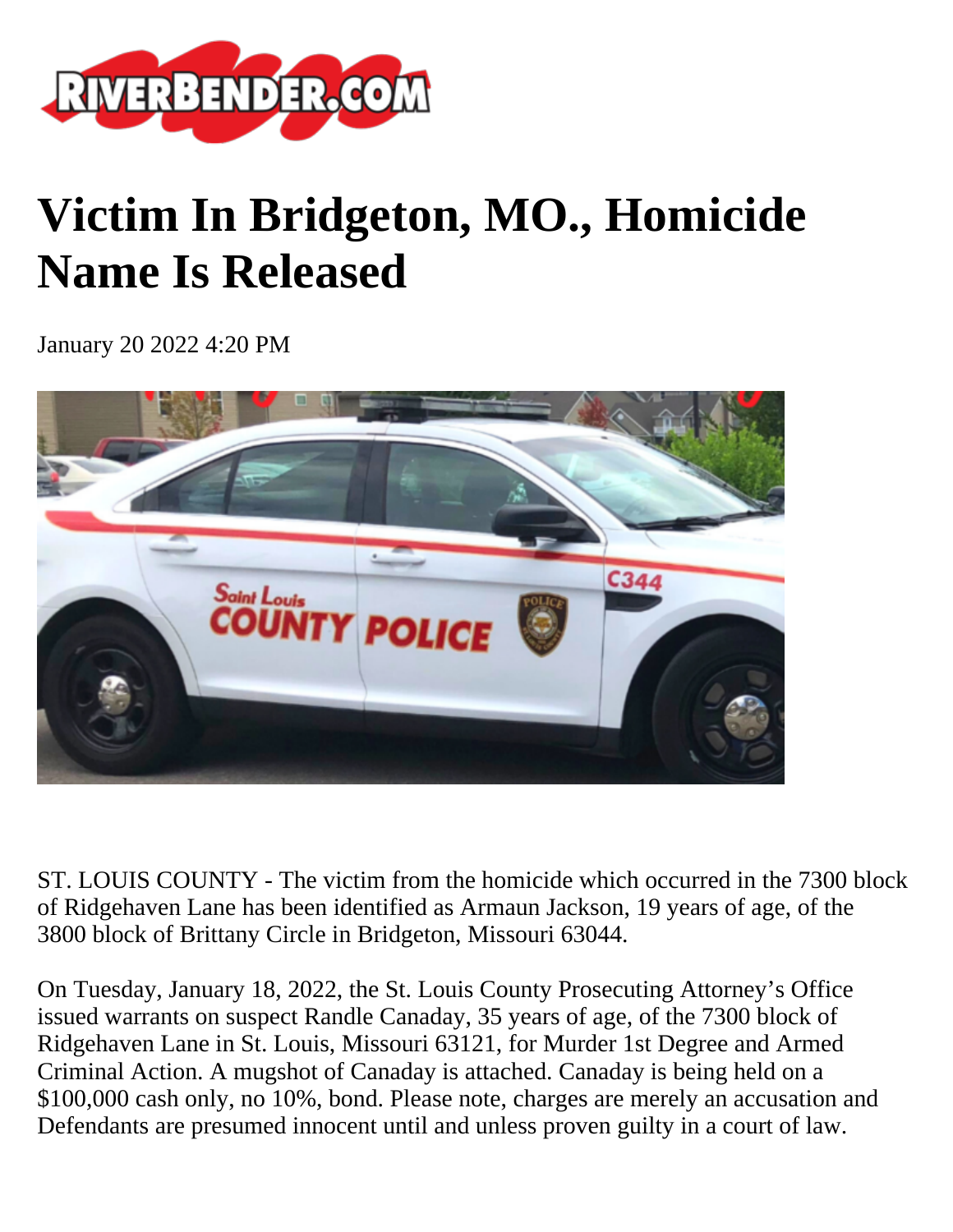

## **Victim In Bridgeton, MO., Homicide Name Is Released**

January 20 2022 4:20 PM



ST. LOUIS COUNTY - The victim from the homicide which occurred in the 7300 block of Ridgehaven Lane has been identified as Armaun Jackson, 19 years of age, of the 3800 block of Brittany Circle in Bridgeton, Missouri 63044.

On Tuesday, January 18, 2022, the St. Louis County Prosecuting Attorney's Office issued warrants on suspect Randle Canaday, 35 years of age, of the 7300 block of Ridgehaven Lane in St. Louis, Missouri 63121, for Murder 1st Degree and Armed Criminal Action. A mugshot of Canaday is attached. Canaday is being held on a \$100,000 cash only, no 10%, bond. Please note, charges are merely an accusation and Defendants are presumed innocent until and unless proven guilty in a court of law.